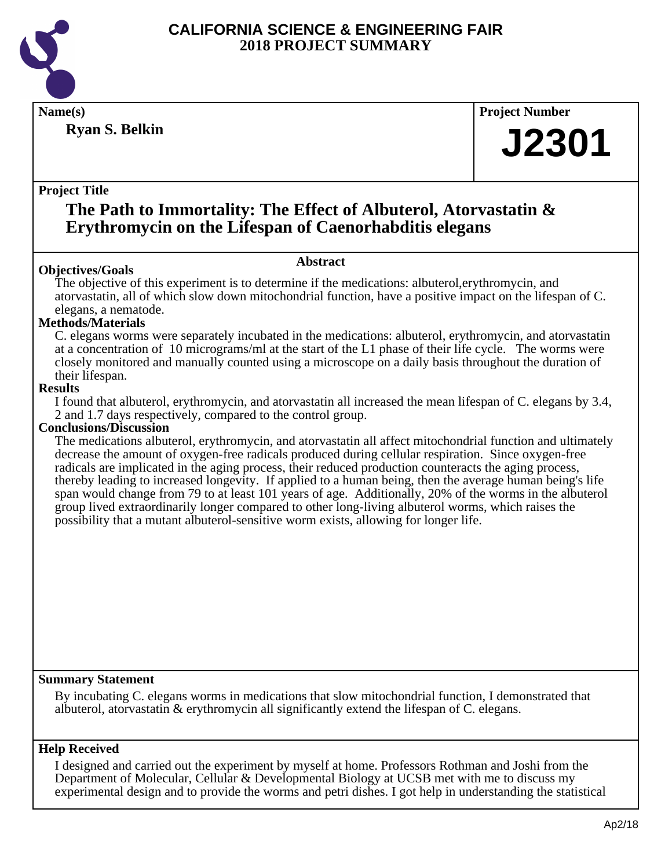

**Ryan S. Belkin**

**Name(s) Project Number**

# **J2301**

## **Project Title**

## **The Path to Immortality: The Effect of Albuterol, Atorvastatin & Erythromycin on the Lifespan of Caenorhabditis elegans**

## **Abstract**

**Objectives/Goals** The objective of this experiment is to determine if the medications: albuterol,erythromycin, and atorvastatin, all of which slow down mitochondrial function, have a positive impact on the lifespan of C. elegans, a nematode.

## **Methods/Materials**

C. elegans worms were separately incubated in the medications: albuterol, erythromycin, and atorvastatin at a concentration of 10 micrograms/ml at the start of the L1 phase of their life cycle. The worms were closely monitored and manually counted using a microscope on a daily basis throughout the duration of their lifespan.

## **Results**

I found that albuterol, erythromycin, and atorvastatin all increased the mean lifespan of C. elegans by 3.4, 2 and 1.7 days respectively, compared to the control group.

## **Conclusions/Discussion**

The medications albuterol, erythromycin, and atorvastatin all affect mitochondrial function and ultimately decrease the amount of oxygen-free radicals produced during cellular respiration. Since oxygen-free radicals are implicated in the aging process, their reduced production counteracts the aging process, thereby leading to increased longevity. If applied to a human being, then the average human being's life span would change from 79 to at least 101 years of age. Additionally, 20% of the worms in the albuterol group lived extraordinarily longer compared to other long-living albuterol worms, which raises the possibility that a mutant albuterol-sensitive worm exists, allowing for longer life.

## **Summary Statement**

By incubating C. elegans worms in medications that slow mitochondrial function, I demonstrated that albuterol, atorvastatin & erythromycin all significantly extend the lifespan of C. elegans.

## **Help Received**

I designed and carried out the experiment by myself at home. Professors Rothman and Joshi from the Department of Molecular, Cellular & Developmental Biology at UCSB met with me to discuss my experimental design and to provide the worms and petri dishes. I got help in understanding the statistical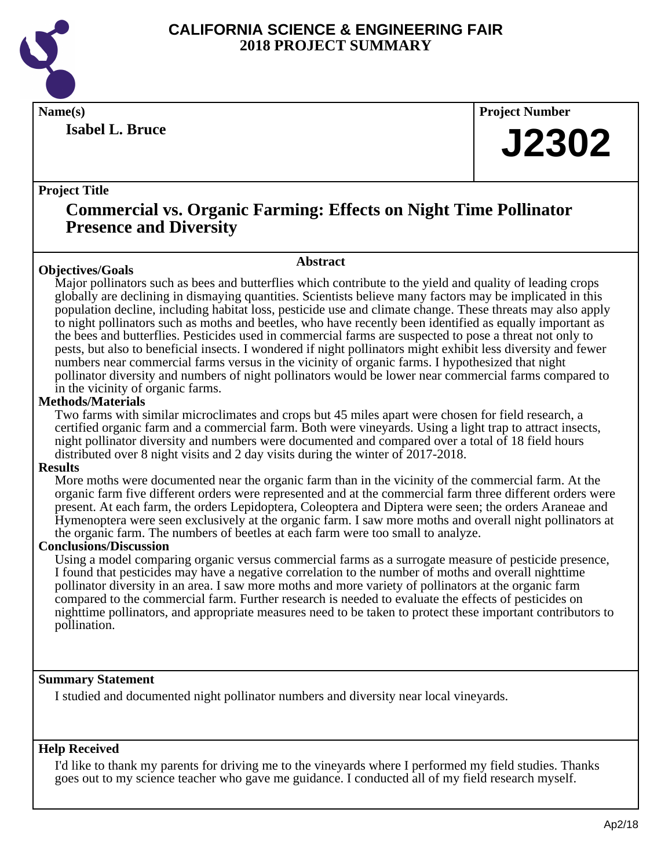

**Isabel L. Bruce**

**Name(s) Project Number**

# **J2302**

## **Project Title**

## **Commercial vs. Organic Farming: Effects on Night Time Pollinator Presence and Diversity**

## **Abstract**

**Objectives/Goals** Major pollinators such as bees and butterflies which contribute to the yield and quality of leading crops globally are declining in dismaying quantities. Scientists believe many factors may be implicated in this population decline, including habitat loss, pesticide use and climate change. These threats may also apply to night pollinators such as moths and beetles, who have recently been identified as equally important as the bees and butterflies. Pesticides used in commercial farms are suspected to pose a threat not only to pests, but also to beneficial insects. I wondered if night pollinators might exhibit less diversity and fewer numbers near commercial farms versus in the vicinity of organic farms. I hypothesized that night pollinator diversity and numbers of night pollinators would be lower near commercial farms compared to in the vicinity of organic farms.

## **Methods/Materials**

Two farms with similar microclimates and crops but 45 miles apart were chosen for field research, a certified organic farm and a commercial farm. Both were vineyards. Using a light trap to attract insects, night pollinator diversity and numbers were documented and compared over a total of 18 field hours distributed over 8 night visits and 2 day visits during the winter of 2017-2018.

## **Results**

More moths were documented near the organic farm than in the vicinity of the commercial farm. At the organic farm five different orders were represented and at the commercial farm three different orders were present. At each farm, the orders Lepidoptera, Coleoptera and Diptera were seen; the orders Araneae and Hymenoptera were seen exclusively at the organic farm. I saw more moths and overall night pollinators at the organic farm. The numbers of beetles at each farm were too small to analyze.

## **Conclusions/Discussion**

Using a model comparing organic versus commercial farms as a surrogate measure of pesticide presence, I found that pesticides may have a negative correlation to the number of moths and overall nighttime pollinator diversity in an area. I saw more moths and more variety of pollinators at the organic farm compared to the commercial farm. Further research is needed to evaluate the effects of pesticides on nighttime pollinators, and appropriate measures need to be taken to protect these important contributors to pollination.

## **Summary Statement**

I studied and documented night pollinator numbers and diversity near local vineyards.

## **Help Received**

I'd like to thank my parents for driving me to the vineyards where I performed my field studies. Thanks goes out to my science teacher who gave me guidance. I conducted all of my field research myself.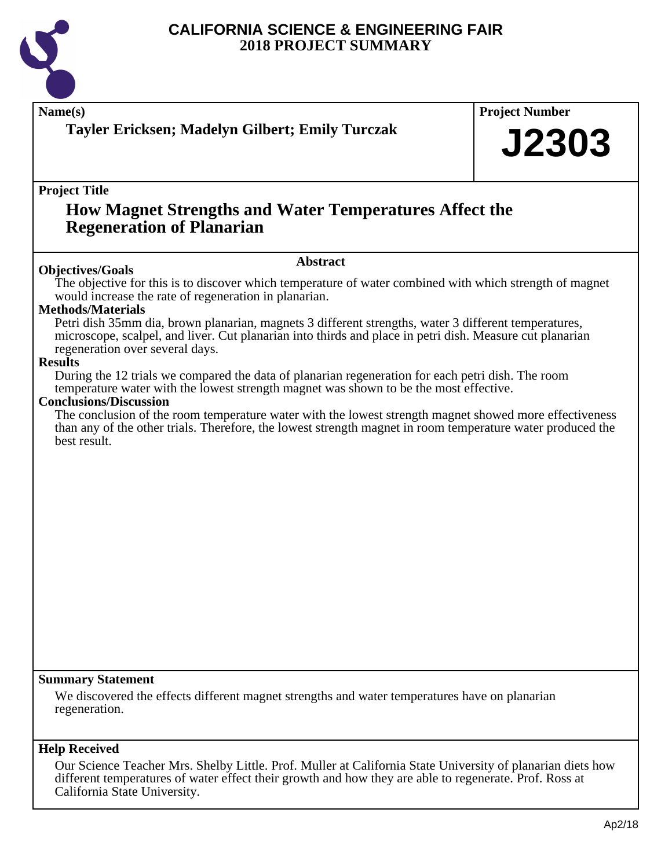

| Name(s)<br>Tayler Ericksen; Madelyn Gilbert; Emily Turczak                                                                                                                                                                                           | <b>Project Number</b> |  |
|------------------------------------------------------------------------------------------------------------------------------------------------------------------------------------------------------------------------------------------------------|-----------------------|--|
|                                                                                                                                                                                                                                                      | <b>J2303</b>          |  |
| <b>Project Title</b><br><b>How Magnet Strengths and Water Temperatures Affect the</b><br><b>Regeneration of Planarian</b>                                                                                                                            |                       |  |
|                                                                                                                                                                                                                                                      |                       |  |
| The objective for this is to discover which temperature of water combined with which strength of magnet<br>would increase the rate of regeneration in planarian.                                                                                     |                       |  |
| <b>Methods/Materials</b>                                                                                                                                                                                                                             |                       |  |
| Petri dish 35mm dia, brown planarian, magnets 3 different strengths, water 3 different temperatures,<br>microscope, scalpel, and liver. Cut planarian into thirds and place in petri dish. Measure cut planarian                                     |                       |  |
| regeneration over several days.<br><b>Results</b>                                                                                                                                                                                                    |                       |  |
| During the 12 trials we compared the data of planarian regeneration for each petri dish. The room<br>temperature water with the lowest strength magnet was shown to be the most effective.<br><b>Conclusions/Discussion</b>                          |                       |  |
| The conclusion of the room temperature water with the lowest strength magnet showed more effectiveness<br>than any of the other trials. Therefore, the lowest strength magnet in room temperature water produced the<br>best result.                 |                       |  |
|                                                                                                                                                                                                                                                      |                       |  |
|                                                                                                                                                                                                                                                      |                       |  |
|                                                                                                                                                                                                                                                      |                       |  |
|                                                                                                                                                                                                                                                      |                       |  |
|                                                                                                                                                                                                                                                      |                       |  |
|                                                                                                                                                                                                                                                      |                       |  |
|                                                                                                                                                                                                                                                      |                       |  |
|                                                                                                                                                                                                                                                      |                       |  |
|                                                                                                                                                                                                                                                      |                       |  |
|                                                                                                                                                                                                                                                      |                       |  |
|                                                                                                                                                                                                                                                      |                       |  |
| <b>Summary Statement</b>                                                                                                                                                                                                                             |                       |  |
| We discovered the effects different magnet strengths and water temperatures have on planarian<br>regeneration.                                                                                                                                       |                       |  |
| <b>Help Received</b>                                                                                                                                                                                                                                 |                       |  |
| Our Science Teacher Mrs. Shelby Little. Prof. Muller at California State University of planarian diets how<br>different temperatures of water effect their growth and how they are able to regenerate. Prof. Ross at<br>California State University. |                       |  |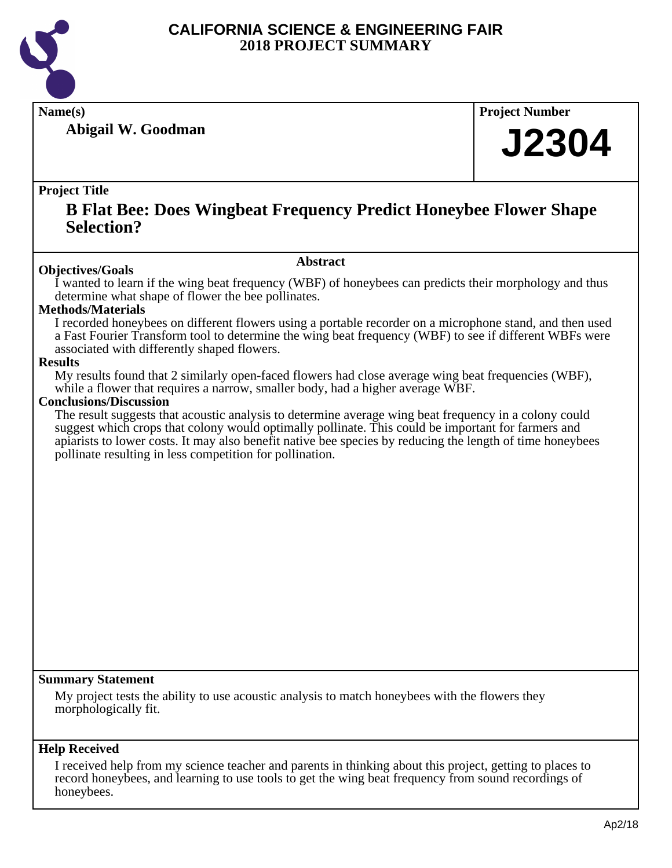

**Abigail W. Goodman**

**Name(s) Project Number**

# **J2304**

## **Project Title**

## **B Flat Bee: Does Wingbeat Frequency Predict Honeybee Flower Shape Selection?**

## **Abstract**

**Objectives/Goals** I wanted to learn if the wing beat frequency (WBF) of honeybees can predicts their morphology and thus determine what shape of flower the bee pollinates.

## **Methods/Materials**

I recorded honeybees on different flowers using a portable recorder on a microphone stand, and then used a Fast Fourier Transform tool to determine the wing beat frequency (WBF) to see if different WBFs were associated with differently shaped flowers.

## **Results**

My results found that 2 similarly open-faced flowers had close average wing beat frequencies (WBF), while a flower that requires a narrow, smaller body, had a higher average WBF.

## **Conclusions/Discussion**

The result suggests that acoustic analysis to determine average wing beat frequency in a colony could suggest which crops that colony would optimally pollinate. This could be important for farmers and apiarists to lower costs. It may also benefit native bee species by reducing the length of time honeybees pollinate resulting in less competition for pollination.

## **Summary Statement**

My project tests the ability to use acoustic analysis to match honeybees with the flowers they morphologically fit.

## **Help Received**

I received help from my science teacher and parents in thinking about this project, getting to places to record honeybees, and learning to use tools to get the wing beat frequency from sound recordings of honeybees.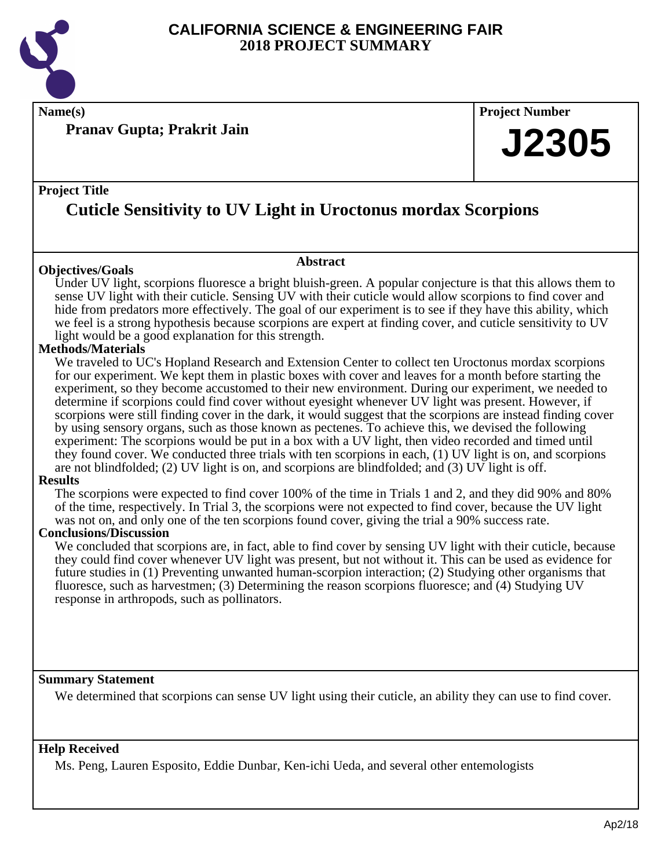

**Name(s) Project Number**

**Pranav Gupta; Prakrit Jain**

## **Project Title**

## **Cuticle Sensitivity to UV Light in Uroctonus mordax Scorpions**

## **Objectives/Goals**

Under UV light, scorpions fluoresce a bright bluish-green. A popular conjecture is that this allows them to sense UV light with their cuticle. Sensing UV with their cuticle would allow scorpions to find cover and hide from predators more effectively. The goal of our experiment is to see if they have this ability, which we feel is a strong hypothesis because scorpions are expert at finding cover, and cuticle sensitivity to UV light would be a good explanation for this strength.

**Abstract**

## **Methods/Materials**

We traveled to UC's Hopland Research and Extension Center to collect ten Uroctonus mordax scorpions for our experiment. We kept them in plastic boxes with cover and leaves for a month before starting the experiment, so they become accustomed to their new environment. During our experiment, we needed to determine if scorpions could find cover without eyesight whenever UV light was present. However, if scorpions were still finding cover in the dark, it would suggest that the scorpions are instead finding cover by using sensory organs, such as those known as pectenes. To achieve this, we devised the following experiment: The scorpions would be put in a box with a UV light, then video recorded and timed until they found cover. We conducted three trials with ten scorpions in each, (1) UV light is on, and scorpions are not blindfolded; (2) UV light is on, and scorpions are blindfolded; and (3) UV light is off.

#### **Results**

The scorpions were expected to find cover 100% of the time in Trials 1 and 2, and they did 90% and 80% of the time, respectively. In Trial 3, the scorpions were not expected to find cover, because the UV light was not on, and only one of the ten scorpions found cover, giving the trial a 90% success rate.

## **Conclusions/Discussion**

We concluded that scorpions are, in fact, able to find cover by sensing UV light with their cuticle, because they could find cover whenever UV light was present, but not without it. This can be used as evidence for future studies in (1) Preventing unwanted human-scorpion interaction; (2) Studying other organisms that fluoresce, such as harvestmen; (3) Determining the reason scorpions fluoresce; and (4) Studying UV response in arthropods, such as pollinators.

## **Summary Statement**

We determined that scorpions can sense UV light using their cuticle, an ability they can use to find cover.

## **Help Received**

Ms. Peng, Lauren Esposito, Eddie Dunbar, Ken-ichi Ueda, and several other entemologists

**J2305**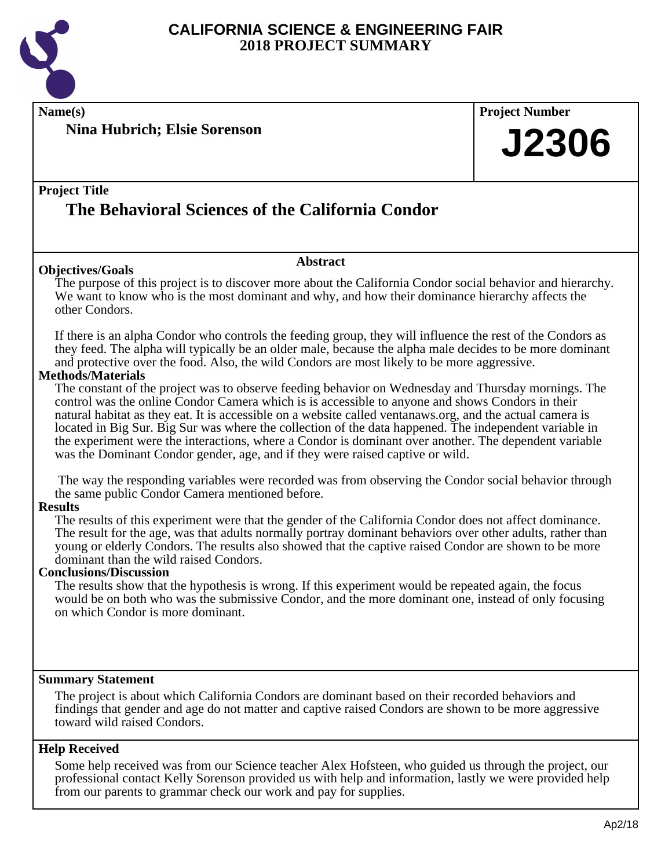

**Name(s) Project Number Project Title Abstract Summary Statement Nina Hubrich; Elsie Sorenson The Behavioral Sciences of the California Condor J2306 Objectives/Goals** The purpose of this project is to discover more about the California Condor social behavior and hierarchy. We want to know who is the most dominant and why, and how their dominance hierarchy affects the other Condors. If there is an alpha Condor who controls the feeding group, they will influence the rest of the Condors as they feed. The alpha will typically be an older male, because the alpha male decides to be more dominant and protective over the food. Also, the wild Condors are most likely to be more aggressive. **Methods/Materials** The constant of the project was to observe feeding behavior on Wednesday and Thursday mornings. The control was the online Condor Camera which is is accessible to anyone and shows Condors in their natural habitat as they eat. It is accessible on a website called ventanaws.org, and the actual camera is located in Big Sur. Big Sur was where the collection of the data happened. The independent variable in the experiment were the interactions, where a Condor is dominant over another. The dependent variable was the Dominant Condor gender, age, and if they were raised captive or wild. The way the responding variables were recorded was from observing the Condor social behavior through the same public Condor Camera mentioned before. **Results** The results of this experiment were that the gender of the California Condor does not affect dominance. The result for the age, was that adults normally portray dominant behaviors over other adults, rather than young or elderly Condors. The results also showed that the captive raised Condor are shown to be more dominant than the wild raised Condors. **Conclusions/Discussion** The results show that the hypothesis is wrong. If this experiment would be repeated again, the focus would be on both who was the submissive Condor, and the more dominant one, instead of only focusing on which Condor is more dominant. The project is about which California Condors are dominant based on their recorded behaviors and findings that gender and age do not matter and captive raised Condors are shown to be more aggressive

## **Help Received**

toward wild raised Condors.

Some help received was from our Science teacher Alex Hofsteen, who guided us through the project, our professional contact Kelly Sorenson provided us with help and information, lastly we were provided help from our parents to grammar check our work and pay for supplies.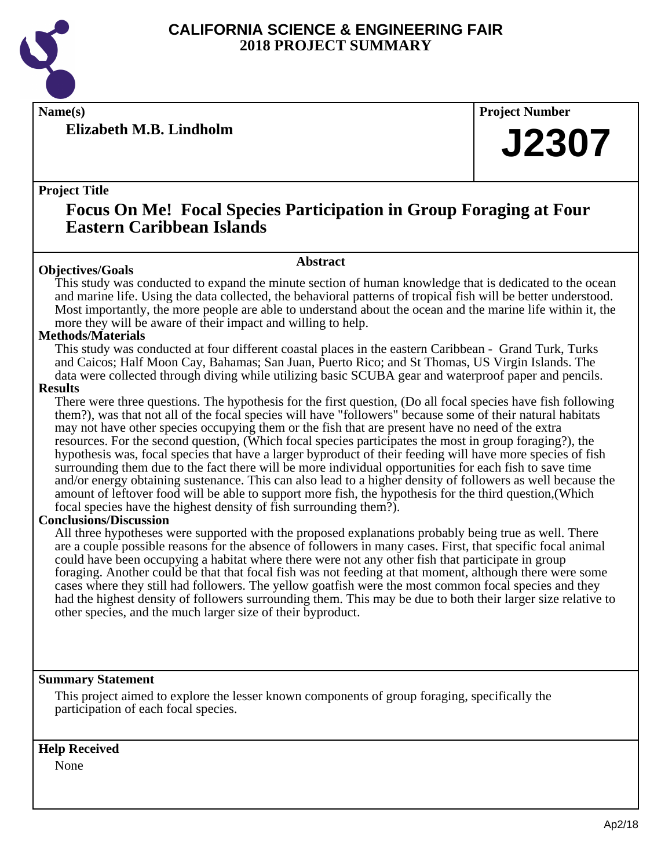

**Elizabeth M.B. Lindholm**

**Name(s) Project Number**

# **J2307**

## **Project Title**

## **Focus On Me! Focal Species Participation in Group Foraging at Four Eastern Caribbean Islands**

## **Abstract**

**Objectives/Goals** This study was conducted to expand the minute section of human knowledge that is dedicated to the ocean and marine life. Using the data collected, the behavioral patterns of tropical fish will be better understood. Most importantly, the more people are able to understand about the ocean and the marine life within it, the more they will be aware of their impact and willing to help.

#### **Methods/Materials**

This study was conducted at four different coastal places in the eastern Caribbean - Grand Turk, Turks and Caicos; Half Moon Cay, Bahamas; San Juan, Puerto Rico; and St Thomas, US Virgin Islands. The data were collected through diving while utilizing basic SCUBA gear and waterproof paper and pencils.

#### **Results**

There were three questions. The hypothesis for the first question, (Do all focal species have fish following them?), was that not all of the focal species will have "followers" because some of their natural habitats may not have other species occupying them or the fish that are present have no need of the extra resources. For the second question, (Which focal species participates the most in group foraging?), the hypothesis was, focal species that have a larger byproduct of their feeding will have more species of fish surrounding them due to the fact there will be more individual opportunities for each fish to save time and/or energy obtaining sustenance. This can also lead to a higher density of followers as well because the amount of leftover food will be able to support more fish, the hypothesis for the third question,(Which focal species have the highest density of fish surrounding them?).

## **Conclusions/Discussion**

All three hypotheses were supported with the proposed explanations probably being true as well. There are a couple possible reasons for the absence of followers in many cases. First, that specific focal animal could have been occupying a habitat where there were not any other fish that participate in group foraging. Another could be that that focal fish was not feeding at that moment, although there were some cases where they still had followers. The yellow goatfish were the most common focal species and they had the highest density of followers surrounding them. This may be due to both their larger size relative to other species, and the much larger size of their byproduct.

## **Summary Statement**

This project aimed to explore the lesser known components of group foraging, specifically the participation of each focal species.

## **Help Received**

None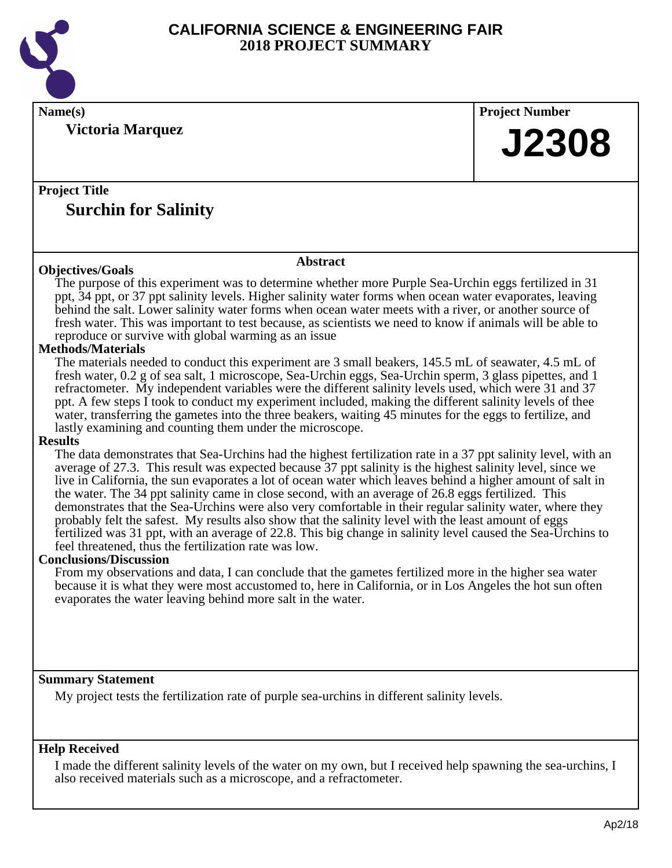

**Victoria Marquez**

**Name(s) Project Number**

# **J2308**

## **Project Title Surchin for Salinity**

## **Objectives/Goals**

**Abstract**

The purpose of this experiment was to determine whether more Purple Sea-Urchin eggs fertilized in 31 ppt, 34 ppt, or 37 ppt salinity levels. Higher salinity water forms when ocean water evaporates, leaving behind the salt. Lower salinity water forms when ocean water meets with a river, or another source of fresh water. This was important to test because, as scientists we need to know if animals will be able to reproduce or survive with global warming as an issue

## **Methods/Materials**

The materials needed to conduct this experiment are 3 small beakers, 145.5 mL of seawater, 4.5 mL of fresh water, 0.2 g of sea salt, 1 microscope, Sea-Urchin eggs, Sea-Urchin sperm, 3 glass pipettes, and 1 refractometer. My independent variables were the different salinity levels used, which were 31 and 37 ppt. A few steps I took to conduct my experiment included, making the different salinity levels of thee water, transferring the gametes into the three beakers, waiting 45 minutes for the eggs to fertilize, and lastly examining and counting them under the microscope.

## **Results**

The data demonstrates that Sea-Urchins had the highest fertilization rate in a 37 ppt salinity level, with an average of 27.3. This result was expected because 37 ppt salinity is the highest salinity level, since we live in California, the sun evaporates a lot of ocean water which leaves behind a higher amount of salt in the water. The 34 ppt salinity came in close second, with an average of 26.8 eggs fertilized. This demonstrates that the Sea-Urchins were also very comfortable in their regular salinity water, where they probably felt the safest. My results also show that the salinity level with the least amount of eggs fertilized was 31 ppt, with an average of 22.8. This big change in salinity level caused the Sea-Urchins to feel threatened, thus the fertilization rate was low.

## **Conclusions/Discussion**

From my observations and data, I can conclude that the gametes fertilized more in the higher sea water because it is what they were most accustomed to, here in California, or in Los Angeles the hot sun often evaporates the water leaving behind more salt in the water.

## **Summary Statement**

My project tests the fertilization rate of purple sea-urchins in different salinity levels.

## **Help Received**

I made the different salinity levels of the water on my own, but I received help spawning the sea-urchins, I also received materials such as a microscope, and a refractometer.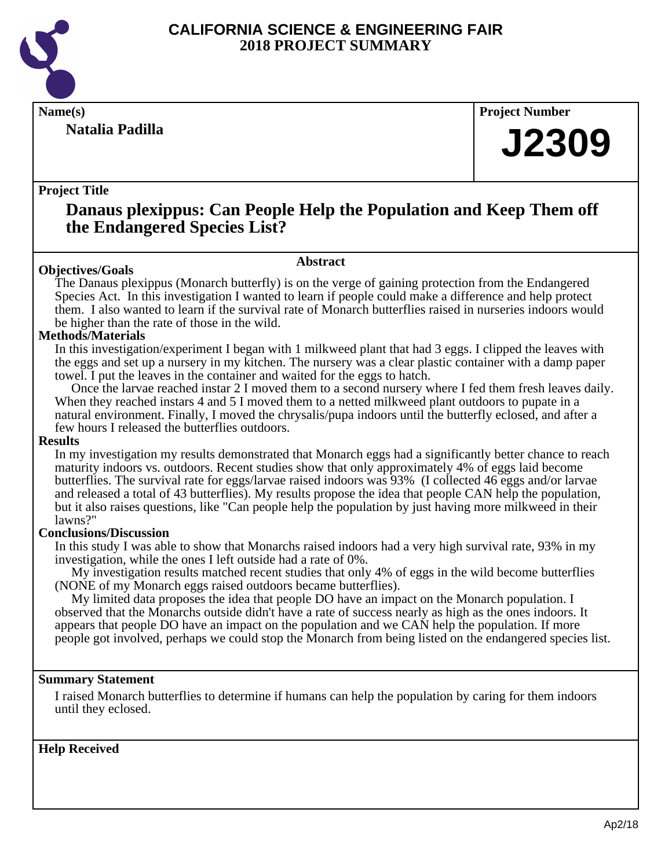

**Natalia Padilla**

**Name(s) Project Number**

# **J2309**

## **Project Title**

## **Danaus plexippus: Can People Help the Population and Keep Them off the Endangered Species List?**

## **Objectives/Goals**

**Abstract**

The Danaus plexippus (Monarch butterfly) is on the verge of gaining protection from the Endangered Species Act. In this investigation I wanted to learn if people could make a difference and help protect them. I also wanted to learn if the survival rate of Monarch butterflies raised in nurseries indoors would be higher than the rate of those in the wild.

## **Methods/Materials**

In this investigation/experiment I began with 1 milkweed plant that had 3 eggs. I clipped the leaves with the eggs and set up a nursery in my kitchen. The nursery was a clear plastic container with a damp paper towel. I put the leaves in the container and waited for the eggs to hatch.

 Once the larvae reached instar 2 I moved them to a second nursery where I fed them fresh leaves daily. When they reached instars 4 and 5 I moved them to a netted milkweed plant outdoors to pupate in a natural environment. Finally, I moved the chrysalis/pupa indoors until the butterfly eclosed, and after a few hours I released the butterflies outdoors.

## **Results**

In my investigation my results demonstrated that Monarch eggs had a significantly better chance to reach maturity indoors vs. outdoors. Recent studies show that only approximately 4% of eggs laid become butterflies. The survival rate for eggs/larvae raised indoors was 93% (I collected 46 eggs and/or larvae and released a total of 43 butterflies). My results propose the idea that people CAN help the population, but it also raises questions, like "Can people help the population by just having more milkweed in their lawns?"

## **Conclusions/Discussion**

In this study I was able to show that Monarchs raised indoors had a very high survival rate, 93% in my investigation, while the ones I left outside had a rate of 0%.

 My investigation results matched recent studies that only 4% of eggs in the wild become butterflies (NONE of my Monarch eggs raised outdoors became butterflies).

 My limited data proposes the idea that people DO have an impact on the Monarch population. I observed that the Monarchs outside didn't have a rate of success nearly as high as the ones indoors. It appears that people DO have an impact on the population and we CAN help the population. If more people got involved, perhaps we could stop the Monarch from being listed on the endangered species list.

## **Summary Statement**

I raised Monarch butterflies to determine if humans can help the population by caring for them indoors until they eclosed.

## **Help Received**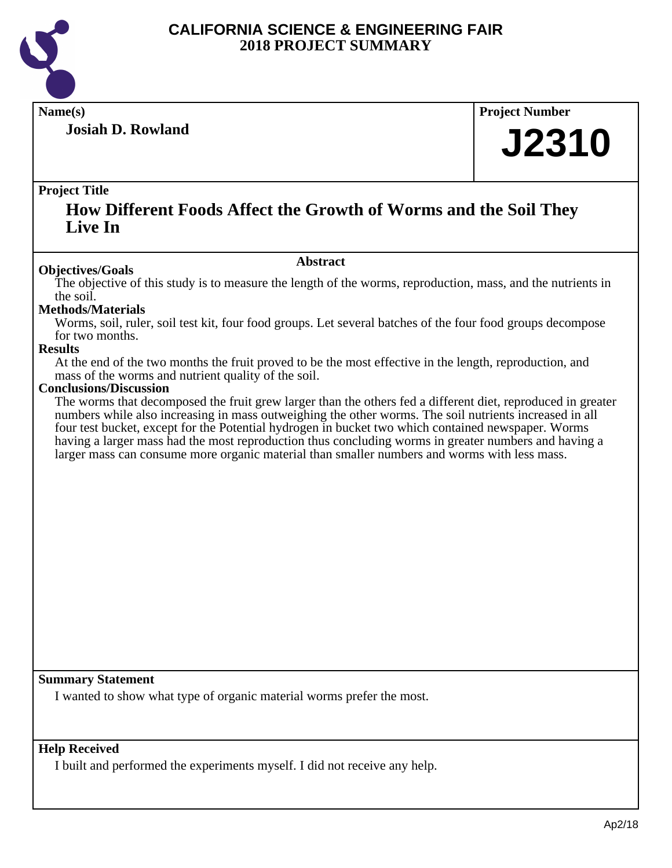

**Josiah D. Rowland**

**Name(s) Project Number**

# **J2310**

## **Project Title**

## **How Different Foods Affect the Growth of Worms and the Soil They Live In**

#### **Abstract**

**Objectives/Goals** The objective of this study is to measure the length of the worms, reproduction, mass, and the nutrients in the soil.

## **Methods/Materials**

Worms, soil, ruler, soil test kit, four food groups. Let several batches of the four food groups decompose for two months.

## **Results**

At the end of the two months the fruit proved to be the most effective in the length, reproduction, and mass of the worms and nutrient quality of the soil.

#### **Conclusions/Discussion**

The worms that decomposed the fruit grew larger than the others fed a different diet, reproduced in greater numbers while also increasing in mass outweighing the other worms. The soil nutrients increased in all four test bucket, except for the Potential hydrogen in bucket two which contained newspaper. Worms having a larger mass had the most reproduction thus concluding worms in greater numbers and having a larger mass can consume more organic material than smaller numbers and worms with less mass.

## **Summary Statement**

I wanted to show what type of organic material worms prefer the most.

## **Help Received**

I built and performed the experiments myself. I did not receive any help.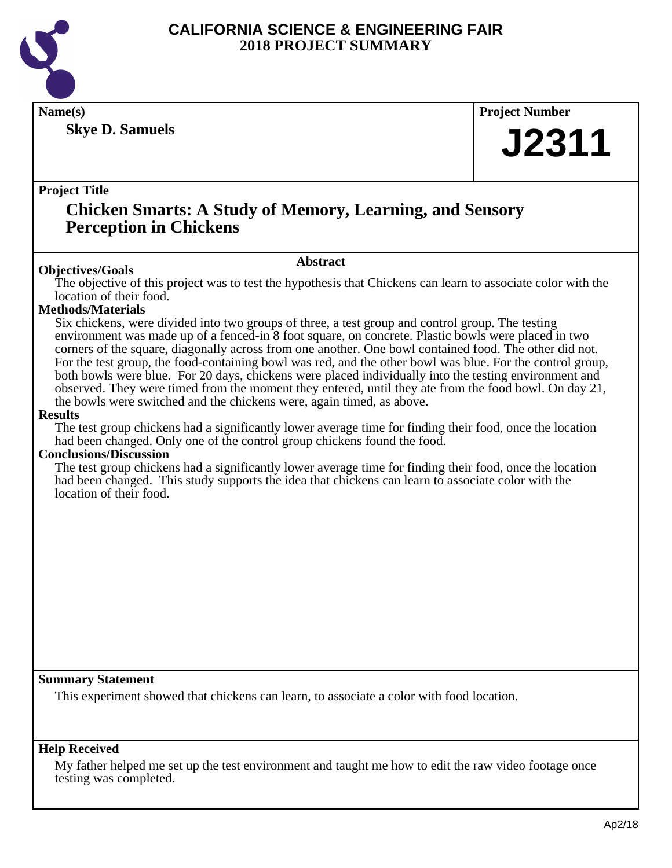

**Skye D. Samuels**

## **Name(s) Project Number**

# **J2311**

## **Project Title**

## **Chicken Smarts: A Study of Memory, Learning, and Sensory Perception in Chickens**

## **Abstract**

**Objectives/Goals** The objective of this project was to test the hypothesis that Chickens can learn to associate color with the location of their food.

## **Methods/Materials**

Six chickens, were divided into two groups of three, a test group and control group. The testing environment was made up of a fenced-in 8 foot square, on concrete. Plastic bowls were placed in two corners of the square, diagonally across from one another. One bowl contained food. The other did not. For the test group, the food-containing bowl was red, and the other bowl was blue. For the control group, both bowls were blue. For 20 days, chickens were placed individually into the testing environment and observed. They were timed from the moment they entered, until they ate from the food bowl. On day 21, the bowls were switched and the chickens were, again timed, as above.

## **Results**

The test group chickens had a significantly lower average time for finding their food, once the location had been changed. Only one of the control group chickens found the food.

## **Conclusions/Discussion**

The test group chickens had a significantly lower average time for finding their food, once the location had been changed. This study supports the idea that chickens can learn to associate color with the location of their food.

## **Summary Statement**

This experiment showed that chickens can learn, to associate a color with food location.

## **Help Received**

My father helped me set up the test environment and taught me how to edit the raw video footage once testing was completed.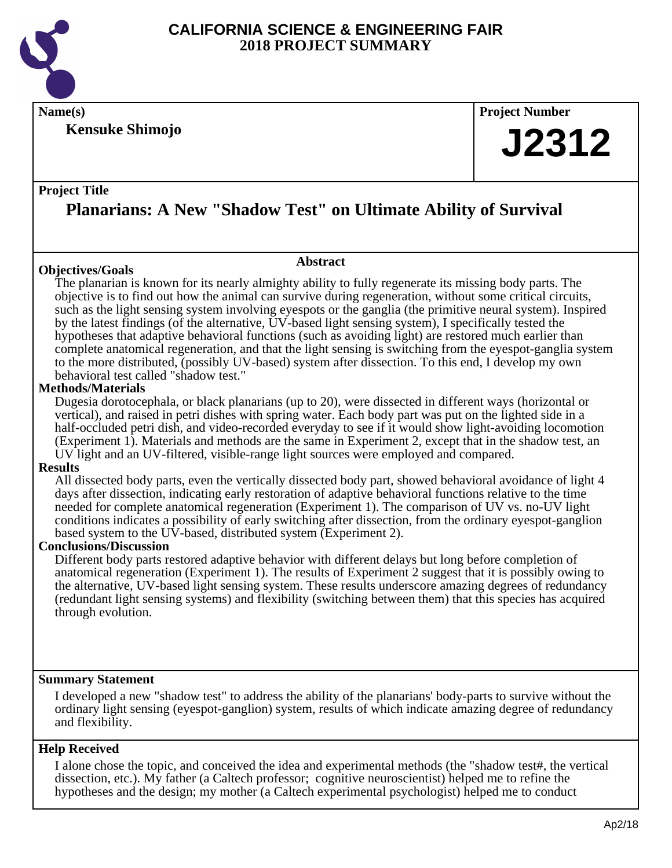

**Kensuke Shimojo**

**Name(s) Project Number**

# **J2312**

## **Project Title**

## **Planarians: A New "Shadow Test" on Ultimate Ability of Survival**

**Abstract**

## **Objectives/Goals**

The planarian is known for its nearly almighty ability to fully regenerate its missing body parts. The objective is to find out how the animal can survive during regeneration, without some critical circuits, such as the light sensing system involving eyespots or the ganglia (the primitive neural system). Inspired by the latest findings (of the alternative, UV-based light sensing system), I specifically tested the hypotheses that adaptive behavioral functions (such as avoiding light) are restored much earlier than complete anatomical regeneration, and that the light sensing is switching from the eyespot-ganglia system to the more distributed, (possibly UV-based) system after dissection. To this end, I develop my own behavioral test called "shadow test."

## **Methods/Materials**

Dugesia dorotocephala, or black planarians (up to 20), were dissected in different ways (horizontal or vertical), and raised in petri dishes with spring water. Each body part was put on the lighted side in a half-occluded petri dish, and video-recorded everyday to see if it would show light-avoiding locomotion (Experiment 1). Materials and methods are the same in Experiment 2, except that in the shadow test, an UV light and an UV-filtered, visible-range light sources were employed and compared.

## **Results**

All dissected body parts, even the vertically dissected body part, showed behavioral avoidance of light 4 days after dissection, indicating early restoration of adaptive behavioral functions relative to the time needed for complete anatomical regeneration (Experiment 1). The comparison of UV vs. no-UV light conditions indicates a possibility of early switching after dissection, from the ordinary eyespot-ganglion based system to the UV-based, distributed system (Experiment 2).

## **Conclusions/Discussion**

Different body parts restored adaptive behavior with different delays but long before completion of anatomical regeneration (Experiment 1). The results of Experiment 2 suggest that it is possibly owing to the alternative, UV-based light sensing system. These results underscore amazing degrees of redundancy (redundant light sensing systems) and flexibility (switching between them) that this species has acquired through evolution.

## **Summary Statement**

I developed a new "shadow test" to address the ability of the planarians' body-parts to survive without the ordinary light sensing (eyespot-ganglion) system, results of which indicate amazing degree of redundancy and flexibility.

## **Help Received**

I alone chose the topic, and conceived the idea and experimental methods (the "shadow test#, the vertical dissection, etc.). My father (a Caltech professor; cognitive neuroscientist) helped me to refine the hypotheses and the design; my mother (a Caltech experimental psychologist) helped me to conduct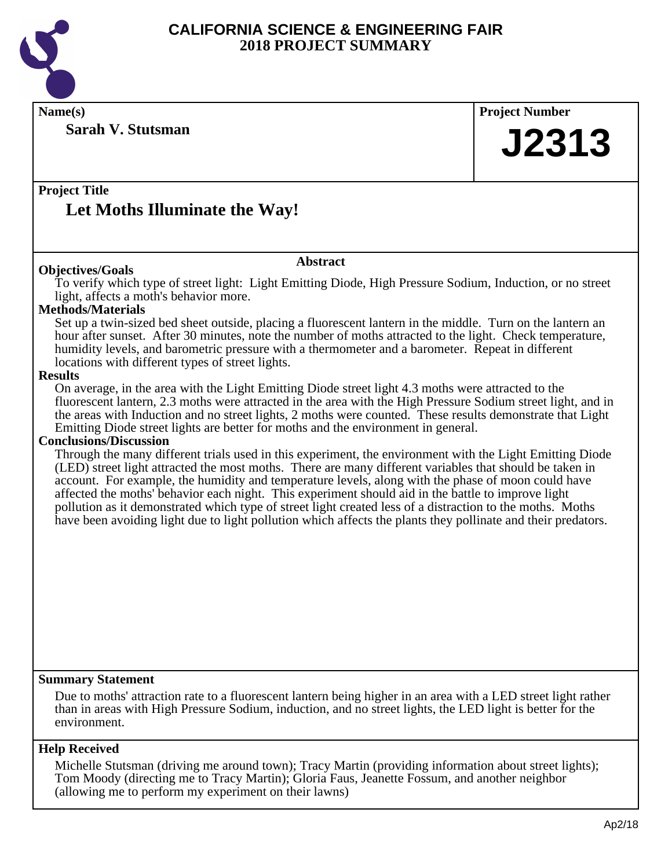

**Name(s) Project Number**

**Sarah V. Stutsman**

**J2313**

## **Project Title**

## **Let Moths Illuminate the Way!**

## **Abstract**

**Objectives/Goals** To verify which type of street light: Light Emitting Diode, High Pressure Sodium, Induction, or no street light, affects a moth's behavior more.

## **Methods/Materials**

Set up a twin-sized bed sheet outside, placing a fluorescent lantern in the middle. Turn on the lantern an hour after sunset. After 30 minutes, note the number of moths attracted to the light. Check temperature, humidity levels, and barometric pressure with a thermometer and a barometer. Repeat in different locations with different types of street lights.

#### **Results**

On average, in the area with the Light Emitting Diode street light 4.3 moths were attracted to the fluorescent lantern, 2.3 moths were attracted in the area with the High Pressure Sodium street light, and in the areas with Induction and no street lights, 2 moths were counted. These results demonstrate that Light Emitting Diode street lights are better for moths and the environment in general.

## **Conclusions/Discussion**

Through the many different trials used in this experiment, the environment with the Light Emitting Diode (LED) street light attracted the most moths. There are many different variables that should be taken in account. For example, the humidity and temperature levels, along with the phase of moon could have affected the moths' behavior each night. This experiment should aid in the battle to improve light pollution as it demonstrated which type of street light created less of a distraction to the moths. Moths have been avoiding light due to light pollution which affects the plants they pollinate and their predators.

#### **Summary Statement**

Due to moths' attraction rate to a fluorescent lantern being higher in an area with a LED street light rather than in areas with High Pressure Sodium, induction, and no street lights, the LED light is better for the environment.

## **Help Received**

Michelle Stutsman (driving me around town); Tracy Martin (providing information about street lights); Tom Moody (directing me to Tracy Martin); Gloria Faus, Jeanette Fossum, and another neighbor (allowing me to perform my experiment on their lawns)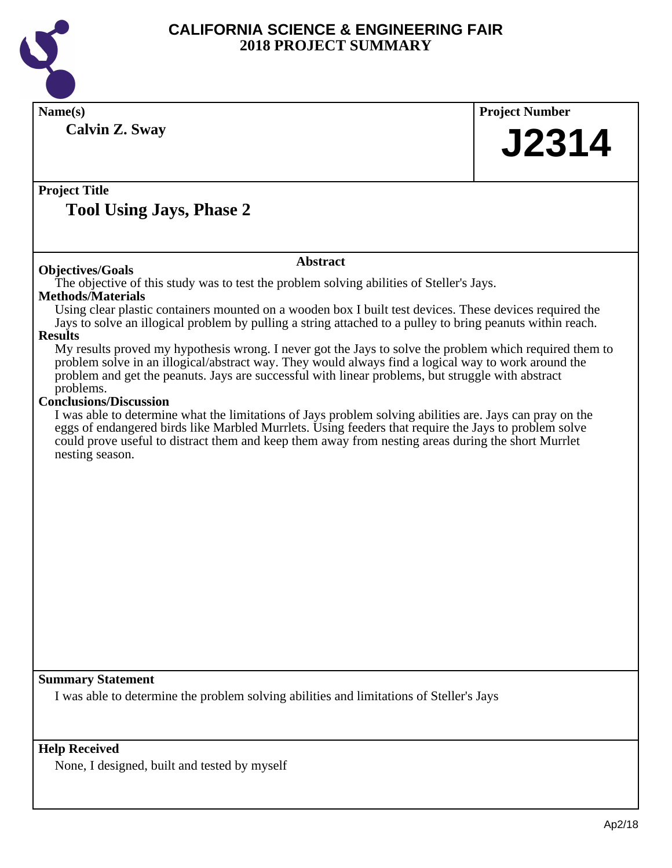

| <b>Calvin Z. Sway</b><br><b>Project Title</b><br><b>Tool Using Jays, Phase 2</b><br><b>Abstract</b><br><b>Objectives/Goals</b><br>The objective of this study was to test the problem solving abilities of Steller's Jays.<br><b>Methods/Materials</b><br>Using clear plastic containers mounted on a wooden box I built test devices. These devices required the<br>Jays to solve an illogical problem by pulling a string attached to a pulley to bring peanuts within reach.<br><b>Results</b><br>My results proved my hypothesis wrong. I never got the Jays to solve the problem which required them to<br>problem solve in an illogical/abstract way. They would always find a logical way to work around the<br>problem and get the peanuts. Jays are successful with linear problems, but struggle with abstract<br>problems.<br><b>Conclusions/Discussion</b><br>I was able to determine what the limitations of Jays problem solving abilities are. Jays can pray on the<br>eggs of endangered birds like Marbled Murrlets. Using feeders that require the Jays to problem solve<br>could prove useful to distract them and keep them away from nesting areas during the short Murrlet<br>nesting season. | <b>Project Number</b> |  |
|---------------------------------------------------------------------------------------------------------------------------------------------------------------------------------------------------------------------------------------------------------------------------------------------------------------------------------------------------------------------------------------------------------------------------------------------------------------------------------------------------------------------------------------------------------------------------------------------------------------------------------------------------------------------------------------------------------------------------------------------------------------------------------------------------------------------------------------------------------------------------------------------------------------------------------------------------------------------------------------------------------------------------------------------------------------------------------------------------------------------------------------------------------------------------------------------------------------------|-----------------------|--|
|                                                                                                                                                                                                                                                                                                                                                                                                                                                                                                                                                                                                                                                                                                                                                                                                                                                                                                                                                                                                                                                                                                                                                                                                                     | J2314                 |  |
|                                                                                                                                                                                                                                                                                                                                                                                                                                                                                                                                                                                                                                                                                                                                                                                                                                                                                                                                                                                                                                                                                                                                                                                                                     |                       |  |
|                                                                                                                                                                                                                                                                                                                                                                                                                                                                                                                                                                                                                                                                                                                                                                                                                                                                                                                                                                                                                                                                                                                                                                                                                     |                       |  |
|                                                                                                                                                                                                                                                                                                                                                                                                                                                                                                                                                                                                                                                                                                                                                                                                                                                                                                                                                                                                                                                                                                                                                                                                                     |                       |  |
| <b>Summary Statement</b><br>I was able to determine the problem solving abilities and limitations of Steller's Jays                                                                                                                                                                                                                                                                                                                                                                                                                                                                                                                                                                                                                                                                                                                                                                                                                                                                                                                                                                                                                                                                                                 |                       |  |

None, I designed, built and tested by myself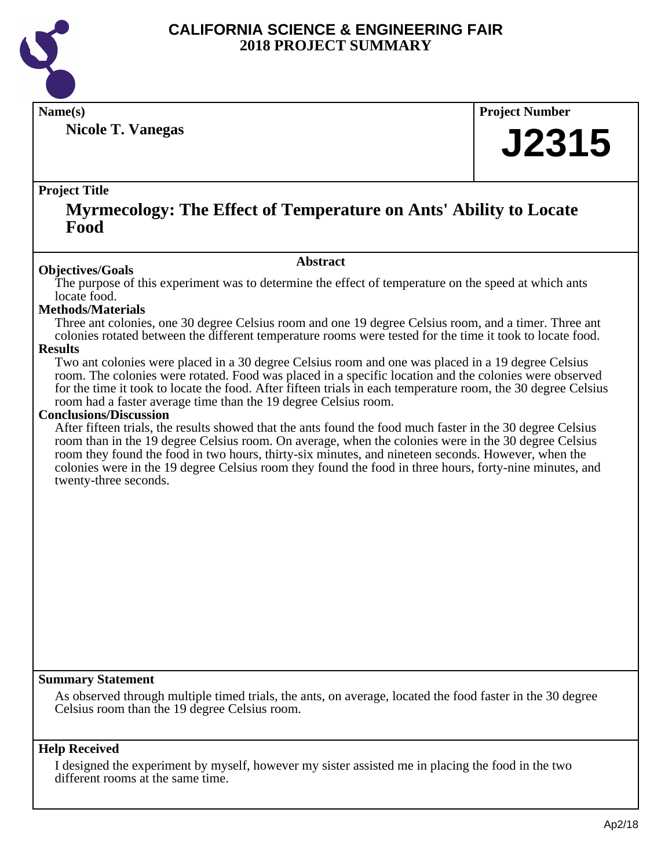

**Nicole T. Vanegas**

**Name(s) Project Number**

# **J2315**

## **Project Title**

## **Myrmecology: The Effect of Temperature on Ants' Ability to Locate Food**

## **Abstract**

**Objectives/Goals** The purpose of this experiment was to determine the effect of temperature on the speed at which ants locate food.

## **Methods/Materials**

Three ant colonies, one 30 degree Celsius room and one 19 degree Celsius room, and a timer. Three ant colonies rotated between the different temperature rooms were tested for the time it took to locate food.

## **Results**

Two ant colonies were placed in a 30 degree Celsius room and one was placed in a 19 degree Celsius room. The colonies were rotated. Food was placed in a specific location and the colonies were observed for the time it took to locate the food. After fifteen trials in each temperature room, the 30 degree Celsius room had a faster average time than the 19 degree Celsius room.

## **Conclusions/Discussion**

After fifteen trials, the results showed that the ants found the food much faster in the 30 degree Celsius room than in the 19 degree Celsius room. On average, when the colonies were in the 30 degree Celsius room they found the food in two hours, thirty-six minutes, and nineteen seconds. However, when the colonies were in the 19 degree Celsius room they found the food in three hours, forty-nine minutes, and twenty-three seconds.

## **Summary Statement**

As observed through multiple timed trials, the ants, on average, located the food faster in the 30 degree Celsius room than the 19 degree Celsius room.

## **Help Received**

I designed the experiment by myself, however my sister assisted me in placing the food in the two different rooms at the same time.